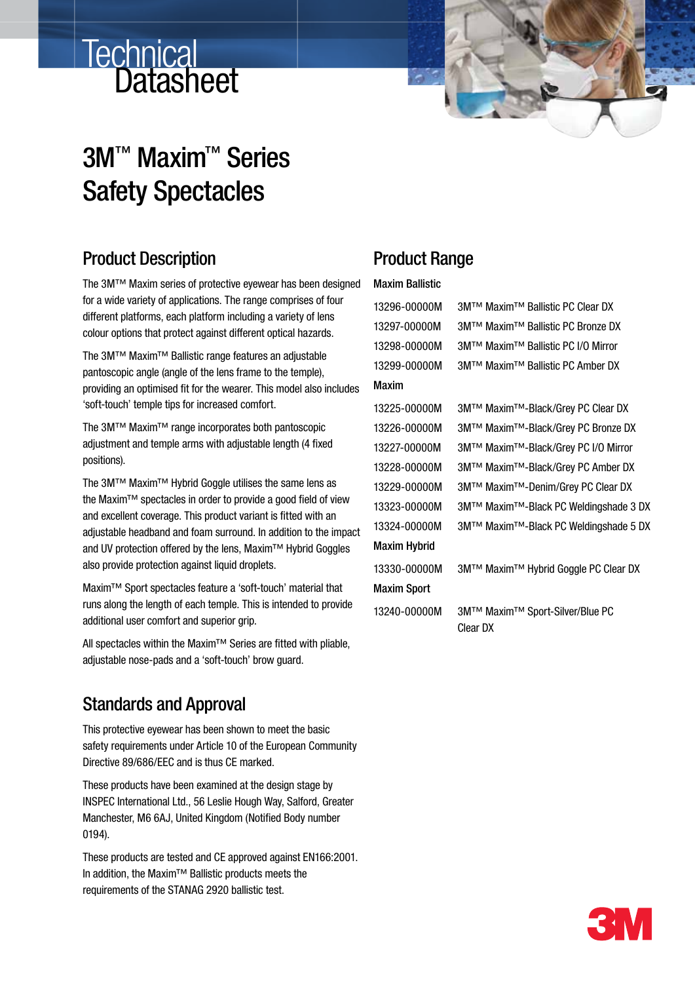# Technical<br>Datasheet



## 3M™ Maxim™ Series Safety Spectacles

#### Product Description

The 3M™ Maxim series of protective eyewear has been designed for a wide variety of applications. The range comprises of four different platforms, each platform including a variety of lens colour options that protect against different optical hazards.

The 3M™ Maxim™ Ballistic range features an adjustable pantoscopic angle (angle of the lens frame to the temple), providing an optimised fit for the wearer. This model also includes 'soft-touch' temple tips for increased comfort.

The 3M™ Maxim™ range incorporates both pantoscopic adjustment and temple arms with adjustable length (4 fixed positions).

The 3M™ Maxim™ Hybrid Goggle utilises the same lens as the Maxim™ spectacles in order to provide a good field of view and excellent coverage. This product variant is fitted with an adjustable headband and foam surround. In addition to the impact and UV protection offered by the lens, Maxim™ Hybrid Goggles also provide protection against liquid droplets.

Maxim™ Sport spectacles feature a 'soft-touch' material that runs along the length of each temple. This is intended to provide additional user comfort and superior grip.

All spectacles within the Maxim™ Series are fitted with pliable, adjustable nose-pads and a 'soft-touch' brow guard.

#### Standards and Approval

This protective eyewear has been shown to meet the basic safety requirements under Article 10 of the European Community Directive 89/686/EEC and is thus CE marked.

These products have been examined at the design stage by INSPEC International Ltd., 56 Leslie Hough Way, Salford, Greater Manchester, M6 6AJ, United Kingdom (Notified Body number 0194).

These products are tested and CE approved against EN166:2001. In addition, the Maxim™ Ballistic products meets the requirements of the STANAG 2920 ballistic test.

#### Product Range

#### Maxim Ballistic

| 13296-00000M        | 3M™ Maxim™ Ballistic PC Clear DX            |
|---------------------|---------------------------------------------|
| 13297-00000M        | 3M™ Maxim™ Ballistic PC Bronze DX           |
| 13298-00000M        | 3M™ Maxim™ Ballistic PC I/O Mirror          |
| 13299-00000M        | 3M™ Maxim™ Ballistic PC Amber DX            |
| Maxim               |                                             |
| 13225-00000M        | 3M™ Maxim™-Black/Grey PC Clear DX           |
| 13226-00000M        | 3M™ Maxim™-Black/Grey PC Bronze DX          |
| 13227-00000M        | 3M™ Maxim™-Black/Grey PC I/0 Mirror         |
| 13228-00000M        | 3M™ Maxim™-Black/Grey PC Amber DX           |
| 13229-00000M        | 3M™ Maxim™-Denim/Grey PC Clear DX           |
| 13323-00000M        | 3M™ Maxim™-Black PC Weldingshade 3 DX       |
| 13324-00000M        | 3M™ Maxim™-Black PC Weldingshade 5 DX       |
| <b>Maxim Hybrid</b> |                                             |
| 13330-00000M        | 3M™ Maxim™ Hybrid Goggle PC Clear DX        |
| <b>Maxim Sport</b>  |                                             |
| 13240-00000M        | 3M™ Maxim™ Sport-Silver/Blue PC<br>Clear DX |

Clear DX

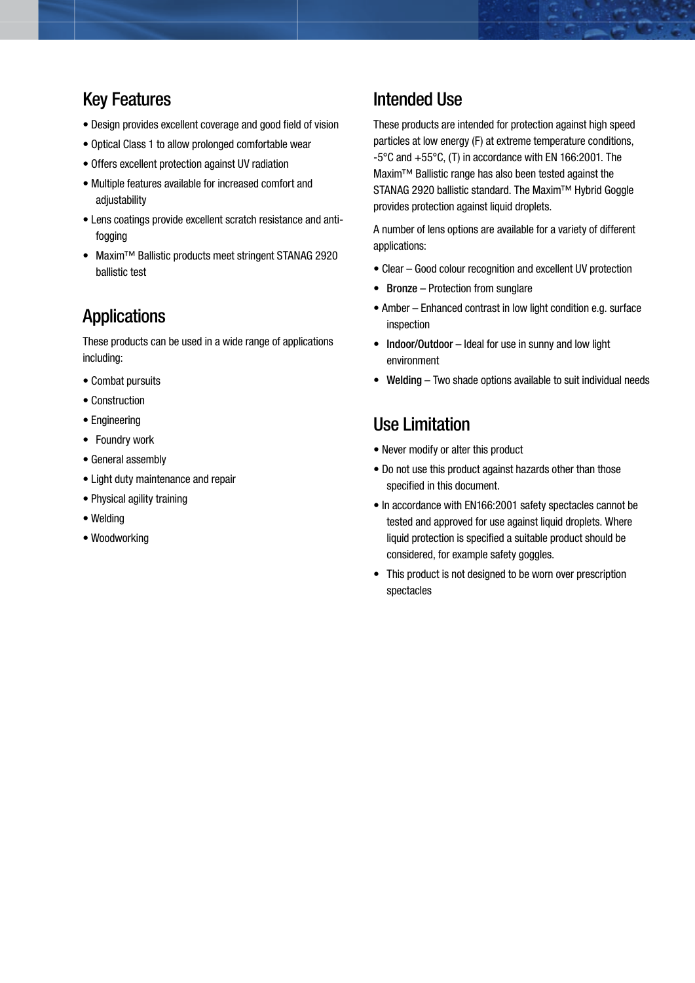#### Key Features

- Design provides excellent coverage and good field of vision
- Optical Class 1 to allow prolonged comfortable wear
- Offers excellent protection against UV radiation
- Multiple features available for increased comfort and adiustability
- Lens coatings provide excellent scratch resistance and antifogging
- Maxim™ Ballistic products meet stringent STANAG 2920 ballistic test

#### Applications

These products can be used in a wide range of applications including:

- Combat pursuits
- Construction
- Engineering
- Foundry work
- General assembly
- Light duty maintenance and repair
- Physical agility training
- Welding
- Woodworking

#### Intended Use

These products are intended for protection against high speed particles at low energy (F) at extreme temperature conditions, -5°C and +55°C, (T) in accordance with EN 166:2001. The Maxim™ Ballistic range has also been tested against the STANAG 2920 ballistic standard. The Maxim™ Hybrid Goggle provides protection against liquid droplets.

A number of lens options are available for a variety of different applications:

- Clear Good colour recognition and excellent UV protection
- Bronze Protection from sunglare
- Amber Enhanced contrast in low light condition e.g. surface inspection
- Indoor/Outdoor Ideal for use in sunny and low light environment
- Welding Two shade options available to suit individual needs

#### Use Limitation

- Never modify or alter this product
- Do not use this product against hazards other than those specified in this document.
- In accordance with EN166:2001 safety spectacles cannot be tested and approved for use against liquid droplets. Where liquid protection is specified a suitable product should be considered, for example safety goggles.
- This product is not designed to be worn over prescription spectacles